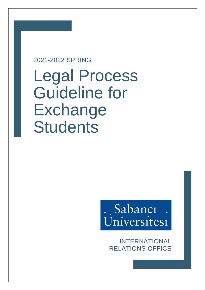# 2021-2022 SPRING

Legal Process Guideline for **Exchange Students** 

# . Sabancı Universites1

INTERNATIONAL RELATIONS OFFICE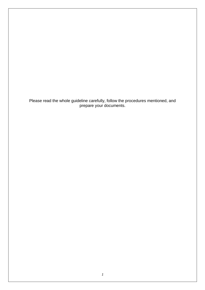Please read the whole guideline carefully, follow the procedures mentioned, and prepare your documents.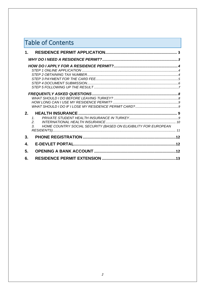| <b>Table of Contents</b> |                                                                                                                       |  |  |  |  |
|--------------------------|-----------------------------------------------------------------------------------------------------------------------|--|--|--|--|
| $1_{-}$                  |                                                                                                                       |  |  |  |  |
|                          |                                                                                                                       |  |  |  |  |
|                          |                                                                                                                       |  |  |  |  |
| 2.                       | 1 <sup>1</sup><br>2 <sub>1</sub><br>HOME COUNTRY SOCIAL SECURITY (BASED ON ELIGIBILITY FOR EUROPEAN<br>3 <sub>l</sub> |  |  |  |  |
| 3.                       |                                                                                                                       |  |  |  |  |
| 4.                       |                                                                                                                       |  |  |  |  |
| 5.                       |                                                                                                                       |  |  |  |  |
| 6.                       |                                                                                                                       |  |  |  |  |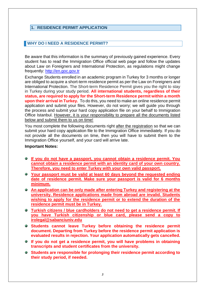#### <span id="page-3-0"></span>**1. RESIDENCE PERMIT APPLICATION**

#### <span id="page-3-1"></span>**WHY DO I NEED A RESIDENCE PERMIT?**

Be aware that this information is the summary of previously gained experience. Every student has to read the Immigration Office official web page and follow the updates about Law on Foreigners and International Protection, as regulations might change frequently: [http://en.goc.gov.tr](http://en.goc.gov.tr/)

Exchange Students enrolled in an academic program in Turkey for 3 months or longer are obliged to acquire a short-term residence permit as per the Law on Foreigners and International Protection. The Short-term Residence Permit gives you the right to stay in Turkey during your study period. **All international students, regardless of their status, are required to apply for the Short-term Residence permit within a month upon their arrival in Turkey.** To do this, you need to make an online residence permit application and submit your files. However, do not worry; we will guide you through the process and submit your hard copy application file on your behalf to Immigration Office Istanbul. However, it is your responsibility to prepare all the documents listed below and submit them to us on time!

You most complete the following documents right after the registration so that we can submit your hard copy application file to the Immigration Office immediately. If you do not provide all the documents on time, then you will have to submit them to the Immigration Office yourself, and your card will arrive late.

#### **Important Notes:**

- **If you do not have a passport, you cannot obtain a residence permit. You cannot obtain a residence permit with an identity card of your own country. Therefore, you need to enter Turkey with your own valid passport.**
- **Your passport must be valid at least 60 days beyond the requested ending date of residence permit. Make sure your passport is valid for 6 months minimum.**
- **An application can be only made after entering Turkey and registering at the university. Residence applications made from abroad are invalid. Students wishing to apply for the residence permit or to extend the duration of the residence permit must be in Turkey.**
- **Turkish citizens / blue cardholders do not need to get a residence permit. If you have Turkish citizenship or blue card, please send a copy to irolegal@sabanciuniv.edu**
- **Students cannot leave Turkey before obtaining the residence permit document. Departing from Turkey before the residence permit application is evaluated results in rejection. Your application automatically gets cancelled.**
- **If you do not get a residence permit, you will have problems in obtaining transcripts and student certificates from the university.**
- **Students are responsible for prolonging their residence permit according to their study period, if needed.**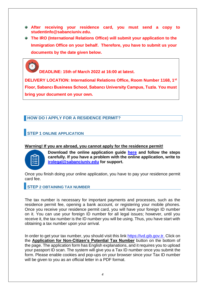- **After receiving your residence card, you must send a copy to studentinfo@sabanciuniv.edu.**
- **The IRO (International Relations Office) will submit your application to the Immigration Office on your behalf. Therefore, you have to submit us your documents by the date given below.**

**DEADLINE: 15th of March 2022 at 16:00 at latest.**

**DELIVERY LOCATION: International Relations Office, Room Number 1168, 1st Floor, Sabancı Business School, Sabancı University Campus, Tuzla. You must bring your document on your own.**

#### <span id="page-4-0"></span>**HOW DO I APPLY FOR A RESIDENCE PERMIT?**

# <span id="page-4-1"></span>**STEP 1 ONLINE APPLICATION**

#### **Warning! If you are abroad, you cannot apply for the residence permit!**

**Download the online application guide [here](https://www.sabanciuniv.edu/sites/default/files/exchange_online_first_time_application_copy_0.pdf) and follow the steps carefully. If you have a problem with the online application, write to [irolegal@sabanciuniv.edu](mailto:irolegal@sabanciuniv.edu) for support.**

Once you finish doing your online application, you have to pay your residence permit card fee.

<span id="page-4-2"></span>**STEP 2 OBTAINING TAX NUMBER**

The tax number is necessary for important payments and processes, such as the residence permit fee, opening a bank account, or registering your mobile phones. Once you receive your residence permit card, you will have your foreign ID number on it. You can use your foreign ID number for all legal issues; however, until you receive it, the tax number is the ID number you will be using. Thus, you have start with obtaining a tax number upon your arrival.

In order to get your tax number, you should visit this link [https://ivd.gib.gov.tr.](https://ivd.gib.gov.tr/) Click on the **Application for Non-Citizen's Potential Tax Number** button on the bottom of the page. The application form has English explanations, and it requires you to upload your passport ID scan. The system will give you a Tax ID number once you submit the form. Please enable cookies and pop-ups on your browser since your Tax ID number will be given to you as an official letter in a PDF format.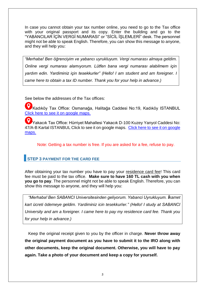In case you cannot obtain your tax number online, you need to go to the Tax office with your original passport and its copy. Enter the building and go to the "YABANCILAR İÇİN VERGİ NUMARASI" or "SİCİL İŞLEMLERİ" desk. The personnel might not be able to speak English. Therefore, you can show this message to anyone, and they will help you:

*"Merhaba! Ben öğrenciyim ve yabancı uyrukluyum. Vergi numarası almaya geldim. Online vergi numarası alamıyorum. Lütfen bana vergi numarası alabilmem için yardım edin. Yardiminiz için tesekkurler" (Hello! I am student and am foreigner. I came here to obtain a tax ID number. Thank you for your help in advance.)*

See below the addresses of the Tax offices:

Kadıköy Tax Office: Osmanağa, Halitağa Caddesi No:19, Kadıköy ISTANBUL [Click here to see it on google maps.](https://goo.gl/maps/RcpkPJmwNVtqa8U5A)

Yakacık Tax Office: Hürriyet Mahallesi Yakacık D-100 Kuzey Yanyol Caddesi No: 47/A-B Kartal ISTANBUL Click to see it on google maps. [Click here to see it on google](https://goo.gl/maps/fyEbfmWfN58iBmEC9)  [maps.](https://goo.gl/maps/fyEbfmWfN58iBmEC9)

Note: Getting a tax number is free. If you are asked for a fee, refuse to pay.

# <span id="page-5-0"></span>**STEP 3 PAYMENT FOR THE CARD FEE**

After obtaining your tax number you have to pay your residence card fee! This card fee must be paid to the tax office. **Make sure to have 160 TL cash with you when you go to pay**. The personnel might not be able to speak English. Therefore, you can show this message to anyone, and they will help you:

*"Merhaba! Ben SABANCI Universitesinden geliyorum. Yabanci Uyrukluyum. İkamet kart ücreti ödemeye geldim. Yardiminiz icin tesekkurler." (Hello! I study at SABANCI University and am a foreigner. I came here to pay my residence card fee. Thank you for your help in advance.)*

Keep the original receipt given to you by the officer in charge. **Never throw away the original payment document as you have to submit it to the IRO along with other documents, keep the original document. Otherwise, you will have to pay again. Take a photo of your document and keep a copy for yourself.**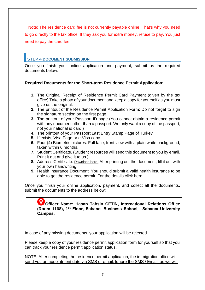Note: The residence card fee is not currently payable online. That's why you need to go directly to the tax office. If they ask you for extra money, refuse to pay. You just need to pay the card fee.

# <span id="page-6-0"></span>**STEP 4 DOCUMENT SUBMISSION**

Once you finish your online application and payment, submit us the required documents below:

#### **Required Documents for the Short-term Residence Permit Application:**

- **1.** The Original Receipt of Residence Permit Card Payment (given by the tax office) Take a photo of your document and keep a copy for yourself as you must give us the original.
- **2.** The printout of the Residence Permit Application Form: Do not forget to sign the signature section on the first page.
- **3.** The printout of your Passport ID page (You cannot obtain a residence permit with any document other than a passport. We only want a copy of the passport, not your national id card.)
- **4.** The printout of your Passport Last Entry Stamp Page of Turkey
- **5.** If exists, Visa Page or e-Visa copy
- **6.** Four (4) Biometric pictures: Full face, front view with a plain white background, taken within 6 months.
- **7.** Student Certificate. (Student resources will send this document to you by email. Print it out and give it to us.)
- **8.** Address Certificate: [Download here](https://www.sabanciuniv.edu/sites/default/files/address_2021.pdf). After printing out the document, fill it out with your own handwriting.
- **9.** Health Insurance Document. You should submit a valid health insurance to be able to get the residence permit. [For the details click here.](#page-9-2)

Once you finish your online application, payment, and collect all the documents, submit the documents to the address below:

#### **Officer Name: Hasan Tahsin CETIN, International Relations Office (Room 1168), 1st Floor, Sabancı Business School, Sabancı University Campus.**

In case of any missing documents, your application will be rejected.

Please keep a copy of your residence permit application form for yourself so that you can track your residence permit application status.

NOTE: After completing the residence permit application, the immigration office will send you an appointment date via SMS or email. Ignore the SMS / Email, as we will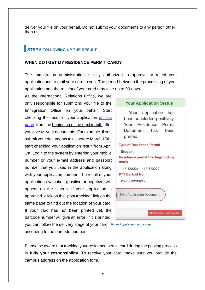deliver your file on your behalf. Do not submit your documents to any person other than us.

# <span id="page-7-0"></span>**STEP 5 FOLLOWING UP THE RESULT**

#### **WHEN DO I GET MY RESIDENCE PERMIT CARD?**

The immigration administration is fully authorized to approve or reject your applicationand to mail your card to you. The period between the processing of your application and the receipt of your card may take up to 90 days.

As the International Relations Office, we are only responsible for submitting your file to the Immigration Office on your behalf. Start checking the result of your application [on this](http://e-ikamet.goc.gov.tr/Ikamet/DevamEdenBasvuruGiris)  [page](http://e-ikamet.goc.gov.tr/Ikamet/DevamEdenBasvuruGiris) from the beginning of the next month after you give us your documents. For example, if you submit your documents to us before March 15th, start checking your application result from April 1st. Login to the system by entering your mobile number or your e-mail address and passport number that you used in the application along with your application number. The result of your application evaluation (positive or negative) will appear on the screen. If your application is approved, click on the "post tracking" link on the same page to find out the location of your card. If your card has not been printed yet, the barcode number will give an error. If it is printed,

#### **Your Application Status**

Your application has been concluded positively. Your Residence Permit Document has been printed.

# **Type of Residence Permit Student Residence permit Starting-Ending** dates 11/15/2021 - 11/15/2022 **PTT Barkod No** 2650273299212 **Print Application Document** Click here for Post Tracking

you can follow the delivery stage of your card *Figure 1 applıcatıon result page*according to the barcode number.

Please be aware that tracking your residence permit card during the posting process is **fully your responsibility**. To receive your card, make sure you provide the campus address on the application form.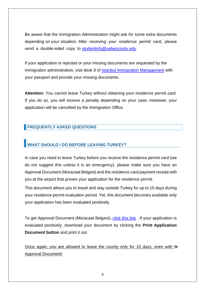Be aware that the Immigration Administration might ask for some extra documents depending on your situation. After receiving your residence permit card, please send a double-sided copy to [studentinfo@sabanciuniv.edu](mailto:studentinfo@sabanciuniv.edu)

If your application is rejected or your missing documents are requested by the immigration administration, visit desk 9 of [Istanbul Immigration Management](https://istanbul.goc.gov.tr/iletisim) with your passport and provide your missing documents.

**Attention:** You cannot leave Turkey without obtaining your residence permit card. If you do so, you will receive a penalty depending on your case; moreover, your application will be cancelled by the Immigration Office.

#### <span id="page-8-0"></span>**FREQUENTLY ASKED QUESTIONS**

## <span id="page-8-1"></span>**WHAT SHOULD I DO BEFORE LEAVING TURKEY?**

In case you need to leave Turkey before you receive the residence permit card (we do not suggest this unless it is an emergency), please make sure you have an Approval Document (Müracaat Belgesi) and the residence card payment receipt with you at the airport that proves your application for the residence permit.

This document allows you to travel and stay outside Turkey for up to 15 days during your residence permit evaluation period. Yet, this document becomes available only your application has been evaluated positively.

To get Approval Document (Müracaat Belgesi), [click this link](https://e-ikamet.goc.gov.tr/Ikamet/DevamEdenBasvuruGiris) . If your application is evaluated positively, download your document by clicking the **Print Application Document button** and print it out.

Once again, you are allowed to leave the county only for 15 days, even with te Approval Document!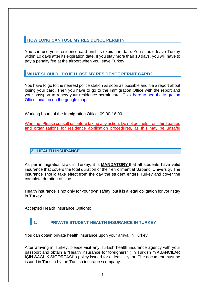# <span id="page-9-0"></span>**HOW LONG CAN I USE MY RESIDENCE PERMIT?**

You can use your residence card until its expiration date. You should leave Turkey within 10 days after its expiration date. If you stay more than 10 days, you will have to pay a penalty fee at the airport when you leave Turkey.

# <span id="page-9-1"></span>**WHAT SHOULD I DO IF I LOSE MY RESIDENCE PERMIT CARD?**

You have to go to the nearest police station as soon as possible and file a report about losing your card. Then you have to go to the Immigration Office with the report and your passport to renew your residence permit card. [Click here to see the Migration](https://goo.gl/maps/AD97Mn7BuUNaY5mJA)  [Office location on the google maps.](https://goo.gl/maps/AD97Mn7BuUNaY5mJA)

Working hours of the Immigration Office: 09:00-16:00

Warning: Please consult us before taking any action. Do not get help from third parties and organizations for residence application procedures, as this may be unsafe!

#### <span id="page-9-2"></span>**2. HEALTH INSURANCE**

As per immigration laws in Turkey, it is **MANDATORY** that all students have valid insurance that covers the total duration of their enrollment at Sabancı University. The insurance should take effect from the day the student enters Turkey and cover the complete duration of stay.

Health insurance is not only for your own safety, but it is a legal obligation for your stay in Turkey.

Accepted Health Insurance Options:

# <span id="page-9-3"></span>**1. PRIVATE STUDENT HEALTH INSURANCE IN TURKEY**

You can obtain private health insurance upon your arrival in Turkey.

After arriving in Turkey, please visit any Turkish health insurance agency with your passport and obtain a "Health insurance for foreigners" ( in Turkish "YABANCILAR İÇİN SAĞLIK SİGORTASI" ) policy issued for at least 1 year. The document must be issued in Turkish by the Turkish insurance company.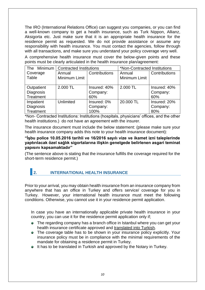The IRO (International Relations Office) can suggest you companies, or you can find a well-known company to get a health insurance, such as Turk Nippon, Allianz, Aksigorta etc. Just make sure that it is an appropriate health insurance for the residence permit as requested. We do not provide assistance or assume any responsibility with health insurance. You must contact the agencies, follow through with all transactions, and make sure you understand your policy coverage very well.

A comprehensive health insurance must cover the below-given points and these points must be clearly articulated in the health insurance plan/agreement:

| The Minimum | <b>Contracted Institutions</b> |               | *Non-Contracted Institutions |               |
|-------------|--------------------------------|---------------|------------------------------|---------------|
| Coverage    | Annual                         | Contributions | Annual                       | Contributions |
| Table       | Minimum Limit                  |               | Minimum Limit                |               |
|             |                                |               |                              |               |
| Outpatient  | 2.000 TL                       | Insured: 40%  | 2.000 TL                     | Insured: 40%  |
| Diagnosis   |                                | Company:      |                              | Company:      |
| Treatment   |                                | 60%           |                              | 60%           |
| Impatient   | Unlimited                      | Insured: 0%   | 20,000 TL                    | Insured: 20%  |
| Diagnosis   |                                | Company:      |                              | Company:      |
| Treatment   |                                | 100%          |                              | 80%           |

\*Non- Contracted Institutions: Institutions (hospitals, physicians' offices, and the other health institutions.) do not have an agreement with the insurer.

The insurance document must include the below statement: (please make sure your health insurance company adds this note to your health insurance document):

#### **"İşbu police 10.05.2016 tarihli ve 16/2016 sayılı vize ve ikamet izni taleplerinde yaptırılacak özel sağlık sigortalarına ilişkin genelgede belirlenen asgari teminat yapısını kapsamaktadır"**

(The sentence above is stating that the insurance fulfills the coverage required for the short-term residence permit.)

# <span id="page-10-0"></span>**2. INTERNATIONAL HEALTH INSURANCE**

Prior to your arrival, you may obtain health insurance from an insurance company from anywhere that has an office in Turkey and offers service/ coverage for you in Turkey. However, your international health insurance must meet the following conditions. Otherwise, you cannot use it in your residence permit application.

In case you have an internationally applicable private health insurance in your country, you can use it for the residence permit application only if;

- The regarding company has a branch office in Istanbul where you can get your health insurance certificate approved and translated into Turkish.
- The coverage table has to be shown in your insurance policy explicitly. Your insurance policy must be in compliance with the minimal requirements of the mandate for obtaining a residence permit in Turkey.
- It has to be translated in Turkish and approved by the Notary in Turkey.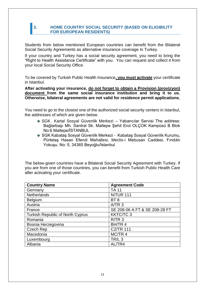#### <span id="page-11-0"></span>**3. HOME COUNTRY SOCIAL SECURITY (BASED ON ELIGIBILITY FOR EUROPEAN RESIDENTS)**

Students from below mentioned European countries can benefit from the Bilateral Social Security Agreements as alternative insurance coverage In Turkey.

If your country and Turkey has a social security agreement, you need to bring the "Right to Health Assistance Certificate" with you. You can request and collect it from your local Social Security Office.

To be covered by Turkish Public Health Insurance**, you must activate** your certificate in Istanbul.

**After activating your insurance, do not forget to obtain a Provision (provizyon) document from the same social insurance institution and bring it to us. Otherwise, bilateral agreements are not valid for residence permit applications.**

You need to go to the closest one of the authorized social security centers in Istanbul, the addresses of which are given below.

- **SGK Kartal Sosyal Güvenlik Merkezi Yabancılar Servisi The address:** Bağlarbaşı Mh. Santral Sk. Maltepe Şehit Erol OLÇOK Kampüsü B Blok No:6 Maltepe/İSTANBUL
- SGK Kabataş Sosyal Güvenlik Merkezi Kabataş Sosyal Güvenlik Kurumu, Pürtelaş Hasan Efendi Mahallesi, Meclis-i Mebusan Caddesi, Fındıklı Yokuşu. No: 5, 34365 Beyoğlu/İstanbul

The below-given countries have a Bilateral Social Security Agreement with Turkey. If you are from one of those countries, you can benefit from Turkish Public Health Care after activating your certificate.

| <b>Country Name</b>                     | <b>Agreement Code</b>         |
|-----------------------------------------|-------------------------------|
| Germany                                 | <b>TA 11</b>                  |
| <b>Netherlands</b>                      | <b>N/TUR 111</b>              |
| <b>Belgium</b>                          | BT <sub>8</sub>               |
| Austria                                 | A/TR <sub>3</sub>             |
| France                                  | SE 208-06 A FT & SE 208-28 FT |
| <b>Turkish Republic of North Cyprus</b> | <b>KKTC/TC3</b>               |
| Romania                                 | $R/TR$ 3                      |
| Bosnia Herzegovina                      | BH/TR 4                       |
| Czech Rep                               | <b>CZ/TR 111</b>              |
| Macedonia                               | MC/TR 4                       |
| Luxembourg                              | TR/L <sub>3</sub>             |
| Albania                                 | AL/TR4                        |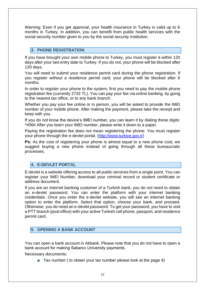Warning: Even if you get approval, your health insurance in Turkey is valid up to 6 months in Turkey. In addition, you can benefit from public health services with the social security number given to you by the social security institution.

#### <span id="page-12-0"></span>**3. PHONE REGISTRATION**

If you have brought your own mobile phone to Turkey, you must register it within 120 days after your last entry date to Turkey. If you do not, your phone will be blocked after 120 days.

You will need to submit your residence permit card during the phone registration. If you register without a residence permit card, your phone will be blocked after 6 months.

In order to register your phone to the system, first you need to pay the mobile phone registration fee (currently 2732 TL). You can pay your fee via online banking, by going to the nearest tax office, or to any bank branch.

Whether you pay your fee online or in person, you will be asked to provide the IMEI number of your mobile phone. After making the payment, please take the receipt and keep with you.

If you do not know the device's IMEI number, you can learn it by dialing these digits: \*#06# After you learn your IMEI number, please write it down to a paper.

Paying the registration fee does not mean registering the phone. You must register your phone through the e-devlet portal. [\(http://www.turkiye.gov.tr\)](http://www.turkiye.gov.tr/)

**Ps:** As the cost of registering your phone is almost equal to a new phone cost, we suggest buying a new phone instead of going through all these bureaucratic processes.

#### <span id="page-12-1"></span>**4. E-DEVLET PORTAL**

E-devlet is a website offering access to all public services from a single point. You can register your IMEI Number, download your criminal record or student certificate or address document.

If you are an internet banking customer of a Turkish bank, you do not need to obtain an e-devlet password. You can enter the platform with your internet banking credentials. Once you enter the e-devlet website, you will see an internet banking option to enter the platform. Select that option, choose your bank, and proceed. Otherwise, you do need an e-devlet password. To get your password, you have to visit a PTT branch (post office) with your active Turkish cell phone, passport, and residence permit card.

#### <span id="page-12-2"></span>**5. OPENING A BANK ACCOUNT**

You can open a bank account in Akbank. Please note that you do not have to open a bank account for making Sabancı University payments.

Necessary documents;

Tax number ( to obtain your tax number please look at the page 4)